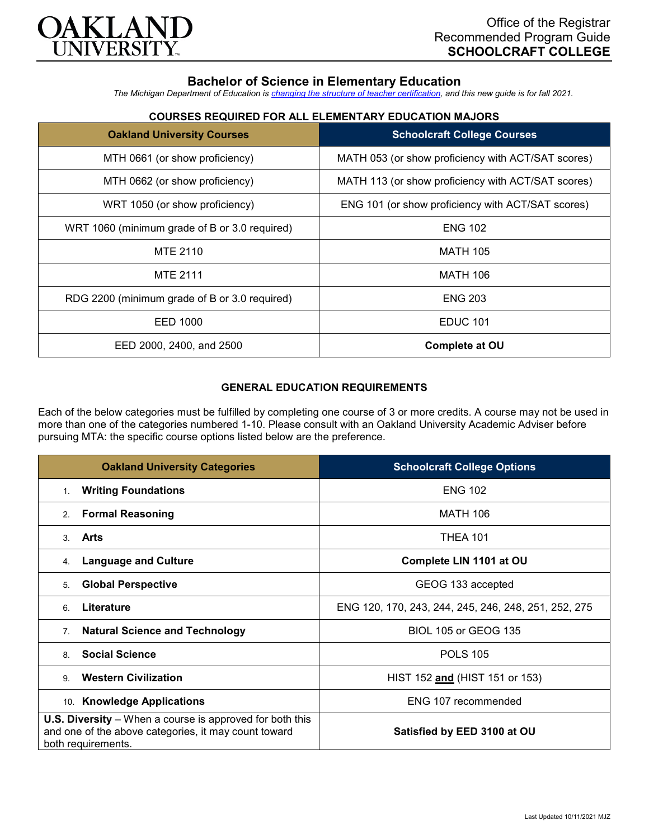

# **Bachelor of Science in Elementary Education**

*The Michigan Department of Education is [changing the structure of teacher certification,](https://docs.google.com/document/d/1W1uUK14Njx6WAB56T4jHbat65OZyg6TS04LdNWMXEcI/edit) and this new guide is for fall 2021.*

| <b>Oakland University Courses</b>             | <b>Schoolcraft College Courses</b>                 |
|-----------------------------------------------|----------------------------------------------------|
| MTH 0661 (or show proficiency)                | MATH 053 (or show proficiency with ACT/SAT scores) |
| MTH 0662 (or show proficiency)                | MATH 113 (or show proficiency with ACT/SAT scores) |
| WRT 1050 (or show proficiency)                | ENG 101 (or show proficiency with ACT/SAT scores)  |
| WRT 1060 (minimum grade of B or 3.0 required) | <b>ENG 102</b>                                     |
| <b>MTE 2110</b>                               | <b>MATH 105</b>                                    |
| <b>MTE 2111</b>                               | <b>MATH 106</b>                                    |
| RDG 2200 (minimum grade of B or 3.0 required) | <b>ENG 203</b>                                     |
| EED 1000                                      | <b>EDUC 101</b>                                    |
| EED 2000, 2400, and 2500                      | <b>Complete at OU</b>                              |

## **COURSES REQUIRED FOR ALL ELEMENTARY EDUCATION MAJORS**

## **GENERAL EDUCATION REQUIREMENTS**

Each of the below categories must be fulfilled by completing one course of 3 or more credits. A course may not be used in more than one of the categories numbered 1-10. Please consult with an Oakland University Academic Adviser before pursuing MTA: the specific course options listed below are the preference.

| <b>Oakland University Categories</b>                                                                                                          | <b>Schoolcraft College Options</b>                   |
|-----------------------------------------------------------------------------------------------------------------------------------------------|------------------------------------------------------|
| <b>Writing Foundations</b><br>1.                                                                                                              | <b>ENG 102</b>                                       |
| <b>Formal Reasoning</b><br>2.                                                                                                                 | MATH 106                                             |
| Arts<br>3.                                                                                                                                    | <b>THEA 101</b>                                      |
| <b>Language and Culture</b><br>4.                                                                                                             | Complete LIN 1101 at OU                              |
| <b>Global Perspective</b><br>5.                                                                                                               | GEOG 133 accepted                                    |
| Literature<br>6                                                                                                                               | ENG 120, 170, 243, 244, 245, 246, 248, 251, 252, 275 |
| <b>Natural Science and Technology</b><br>7 <sub>1</sub>                                                                                       | <b>BIOL 105 or GEOG 135</b>                          |
| <b>Social Science</b><br>8                                                                                                                    | <b>POLS 105</b>                                      |
| <b>Western Civilization</b><br>9                                                                                                              | HIST 152 and (HIST 151 or 153)                       |
| 10. Knowledge Applications                                                                                                                    | ENG 107 recommended                                  |
| <b>U.S. Diversity</b> – When a course is approved for both this<br>and one of the above categories, it may count toward<br>both requirements. | Satisfied by EED 3100 at OU                          |